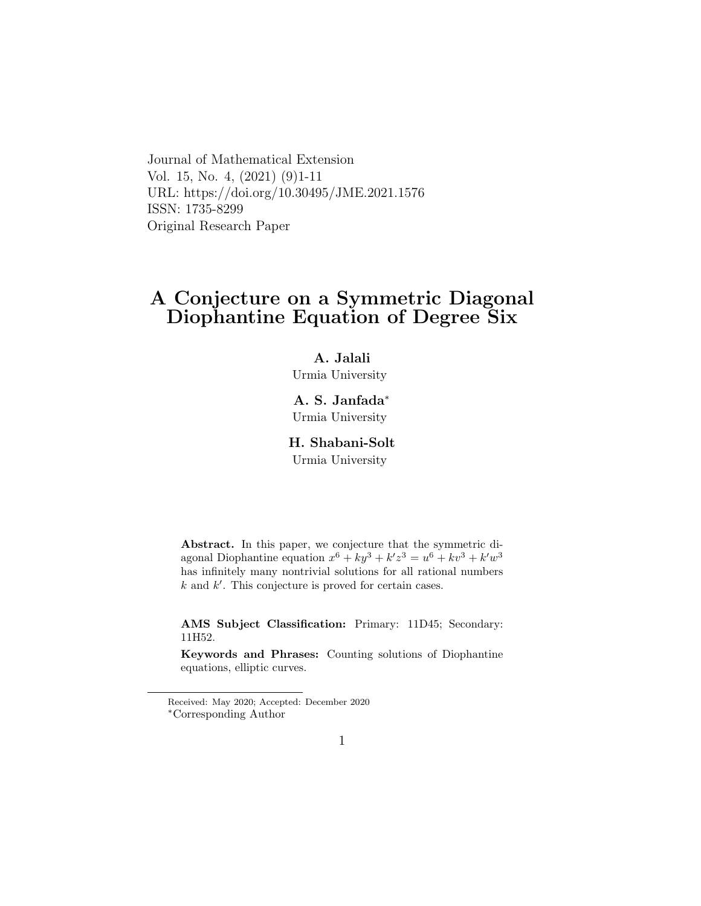Journal of Mathematical Extension Vol. 15, No. 4, (2021) (9)1-11 URL: https://doi.org/10.30495/JME.2021.1576 ISSN: 1735-8299 Original Research Paper

# A Conjecture on a Symmetric Diagonal Diophantine Equation of Degree Six

### A. Jalali

Urmia University

A. S. Janfada[∗](#page-0-0) Urmia University

# H. Shabani-Solt

Urmia University

Abstract. In this paper, we conjecture that the symmetric diagonal Diophantine equation  $x^6 + ky^3 + k'z^3 = u^6 + kv^3 + k'w^3$ has infinitely many nontrivial solutions for all rational numbers  $k$  and  $k'$ . This conjecture is proved for certain cases.

AMS Subject Classification: Primary: 11D45; Secondary: 11H52.

Keywords and Phrases: Counting solutions of Diophantine equations, elliptic curves.

<span id="page-0-0"></span>Received: May 2020; Accepted: December 2020 <sup>∗</sup>Corresponding Author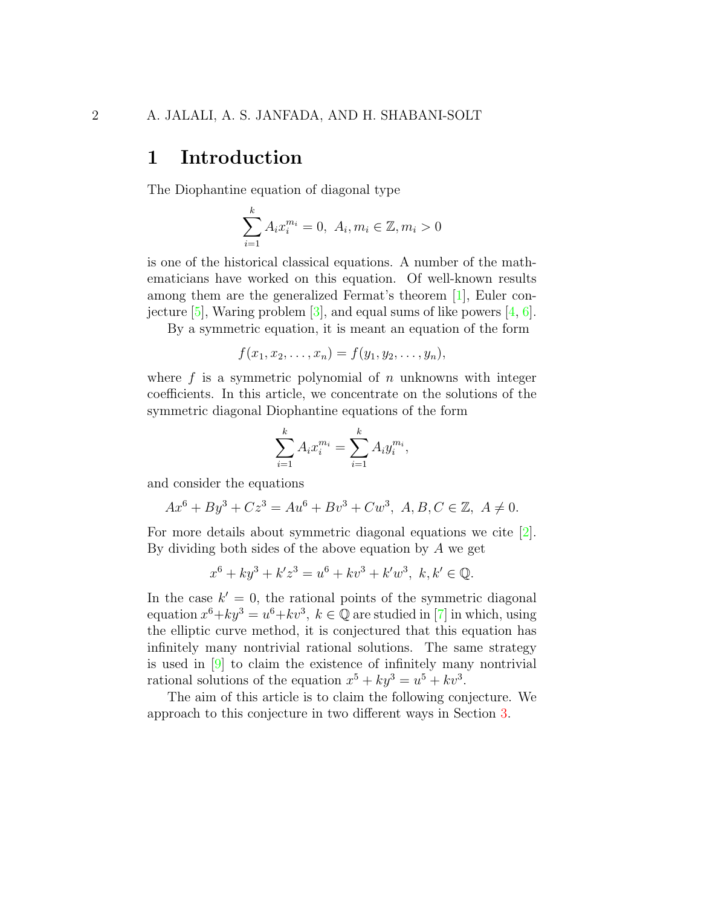# 1 Introduction

The Diophantine equation of diagonal type

$$
\sum_{i=1}^{k} A_i x_i^{m_i} = 0, \ A_i, m_i \in \mathbb{Z}, m_i > 0
$$

is one of the historical classical equations. A number of the mathematicians have worked on this equation. Of well-known results among them are the generalized Fermat's theorem [\[1\]](#page-8-0), Euler conjecture  $[5]$ , Waring problem  $[3]$ , and equal sums of like powers  $[4, 6]$  $[4, 6]$  $[4, 6]$ .

By a symmetric equation, it is meant an equation of the form

$$
f(x_1, x_2, \ldots, x_n) = f(y_1, y_2, \ldots, y_n),
$$

where  $f$  is a symmetric polynomial of  $n$  unknowns with integer coefficients. In this article, we concentrate on the solutions of the symmetric diagonal Diophantine equations of the form

$$
\sum_{i=1}^{k} A_i x_i^{m_i} = \sum_{i=1}^{k} A_i y_i^{m_i},
$$

and consider the equations

$$
Ax^{6} + By^{3} + Cz^{3} = Au^{6} + Bv^{3} + Cw^{3}, A, B, C \in \mathbb{Z}, A \neq 0.
$$

For more details about symmetric diagonal equations we cite [\[2\]](#page-8-1). By dividing both sides of the above equation by A we get

$$
x^{6} + ky^{3} + k'z^{3} = u^{6} + kv^{3} + k'w^{3}, k, k' \in \mathbb{Q}.
$$

In the case  $k' = 0$ , the rational points of the symmetric diagonal equation  $x^6 + ky^3 = u^6 + kv^3$ ,  $k \in \mathbb{Q}$  are studied in [\[7\]](#page-9-4) in which, using the elliptic curve method, it is conjectured that this equation has infinitely many nontrivial rational solutions. The same strategy is used in [\[9\]](#page-9-5) to claim the existence of infinitely many nontrivial rational solutions of the equation  $x^5 + ky^3 = u^5 + kv^3$ .

The aim of this article is to claim the following conjecture. We approach to this conjecture in two different ways in Section [3.](#page-5-0)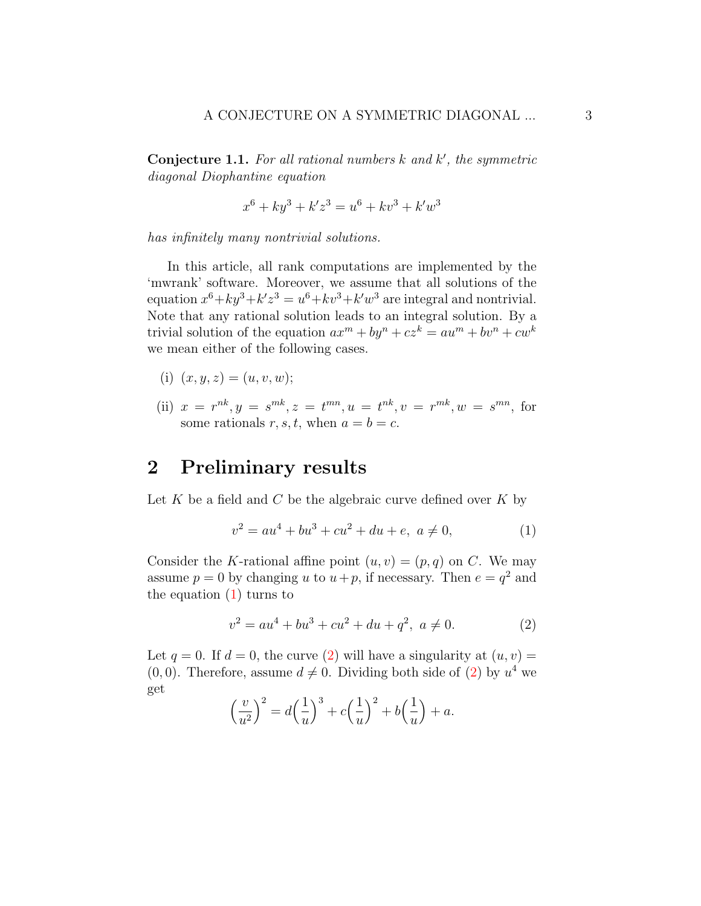<span id="page-2-2"></span>Conjecture 1.1. For all rational numbers  $k$  and  $k'$ , the symmetric diagonal Diophantine equation

$$
x^{6} + ky^{3} + k'z^{3} = u^{6} + kv^{3} + k'w^{3}
$$

has infinitely many nontrivial solutions.

In this article, all rank computations are implemented by the 'mwrank' software. Moreover, we assume that all solutions of the equation  $x^6 + ky^3 + k'z^3 = u^6 + kv^3 + k'w^3$  are integral and nontrivial. Note that any rational solution leads to an integral solution. By a trivial solution of the equation  $ax^m + by^n + cz^k = au^m + bv^n + cw^k$ we mean either of the following cases.

- (i)  $(x, y, z) = (u, v, w);$
- (ii)  $x = r^{nk}, y = s^{mk}, z = t^{mn}, u = t^{nk}, v = r^{mk}, w = s^{mn}$ , for some rationals r, s, t, when  $a = b = c$ .

# 2 Preliminary results

Let K be a field and C be the algebraic curve defined over K by

<span id="page-2-0"></span>
$$
v^2 = au^4 + bu^3 + cu^2 + du + e, \ a \neq 0,
$$
 (1)

Consider the K-rational affine point  $(u, v) = (p, q)$  on C. We may assume  $p = 0$  by changing u to  $u + p$ , if necessary. Then  $e = q^2$  and the equation [\(1\)](#page-2-0) turns to

<span id="page-2-1"></span>
$$
v^2 = au^4 + bu^3 + cu^2 + du + q^2, \ a \neq 0.
$$
 (2)

Let  $q = 0$ . If  $d = 0$ , the curve [\(2\)](#page-2-1) will have a singularity at  $(u, v) =$  $(0, 0)$ . Therefore, assume  $d \neq 0$ . Dividing both side of  $(2)$  by  $u<sup>4</sup>$  we get

$$
\left(\frac{v}{u^2}\right)^2 = d\left(\frac{1}{u}\right)^3 + c\left(\frac{1}{u}\right)^2 + b\left(\frac{1}{u}\right) + a.
$$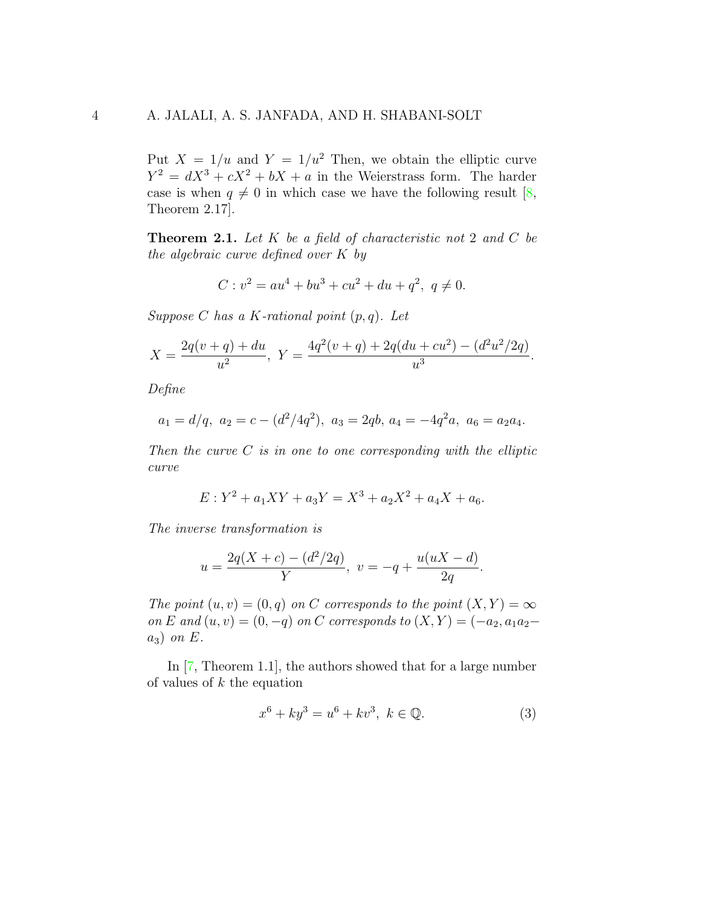Put  $X = 1/u$  and  $Y = 1/u^2$  Then, we obtain the elliptic curve  $Y^2 = dX^3 + cX^2 + bX + a$  in the Weierstrass form. The harder case is when  $q \neq 0$  in which case we have the following result [\[8,](#page-9-6) Theorem 2.17].

<span id="page-3-1"></span>**Theorem 2.1.** Let  $K$  be a field of characteristic not 2 and  $C$  be the algebraic curve defined over K by

$$
C: v2 = au4 + bu3 + cu2 + du + q2, q \neq 0.
$$

Suppose C has a K-rational point  $(p, q)$ . Let

$$
X = \frac{2q(v+q) + du}{u^2}, \ Y = \frac{4q^2(v+q) + 2q(du+cu^2) - (d^2u^2/2q)}{u^3}.
$$

Define

$$
a_1 = d/q
$$
,  $a_2 = c - (d^2/4q^2)$ ,  $a_3 = 2qb$ ,  $a_4 = -4q^2a$ ,  $a_6 = a_2a_4$ .

Then the curve  $C$  is in one to one corresponding with the elliptic curve

$$
E: Y^2 + a_1XY + a_3Y = X^3 + a_2X^2 + a_4X + a_6.
$$

The inverse transformation is

$$
u = \frac{2q(X+c) - (d^2/2q)}{Y}, \ v = -q + \frac{u(uX-d)}{2q}.
$$

The point  $(u, v) = (0, q)$  on C corresponds to the point  $(X, Y) = \infty$ on E and  $(u, v) = (0, -q)$  on C corresponds to  $(X, Y) = (-a_2, a_1a_2$  $a_3$ ) on E.

In [\[7,](#page-9-4) Theorem 1.1], the authors showed that for a large number of values of  $k$  the equation

<span id="page-3-0"></span>
$$
x^{6} + ky^{3} = u^{6} + kv^{3}, \ k \in \mathbb{Q}.
$$
 (3)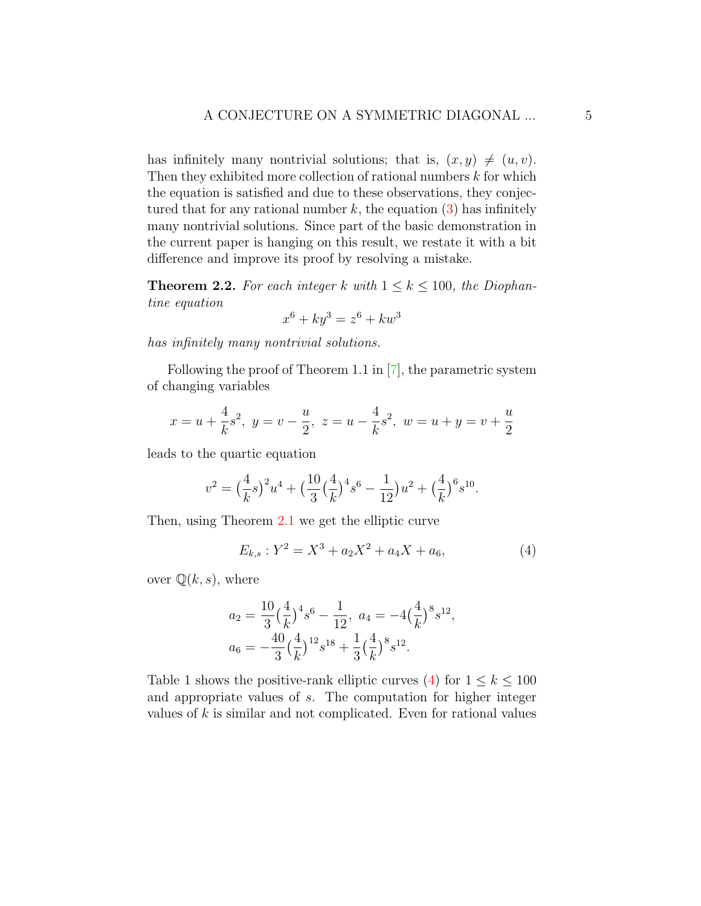has infinitely many nontrivial solutions; that is,  $(x, y) \neq (u, v)$ . Then they exhibited more collection of rational numbers  $k$  for which the equation is satisfied and due to these observations, they conjectured that for any rational number  $k$ , the equation  $(3)$  has infinitely many nontrivial solutions. Since part of the basic demonstration in the current paper is hanging on this result, we restate it with a bit difference and improve its proof by resolving a mistake.

<span id="page-4-1"></span>**Theorem 2.2.** For each integer k with  $1 \le k \le 100$ , the Diophantine equation

$$
x^6 + ky^3 = z^6 + kw^3
$$

has infinitely many nontrivial solutions.

Following the proof of Theorem 1.1 in [\[7\]](#page-9-4), the parametric system of changing variables

$$
x = u + \frac{4}{k}s^2
$$
,  $y = v - \frac{u}{2}$ ,  $z = u - \frac{4}{k}s^2$ ,  $w = u + y = v + \frac{u}{2}$ 

leads to the quartic equation

$$
v^{2} = \left(\frac{4}{k}s\right)^{2}u^{4} + \left(\frac{10}{3}\left(\frac{4}{k}\right)^{4}s^{6} - \frac{1}{12}\right)u^{2} + \left(\frac{4}{k}\right)^{6}s^{10}.
$$

Then, using Theorem [2.1](#page-3-1) we get the elliptic curve

<span id="page-4-0"></span>
$$
E_{k,s}: Y^2 = X^3 + a_2 X^2 + a_4 X + a_6,
$$
\n<sup>(4)</sup>

over  $\mathbb{Q}(k, s)$ , where

$$
a_2 = \frac{10}{3} \left(\frac{4}{k}\right)^4 s^6 - \frac{1}{12}, \ a_4 = -4\left(\frac{4}{k}\right)^8 s^{12},
$$
  

$$
a_6 = -\frac{40}{3} \left(\frac{4}{k}\right)^{12} s^{18} + \frac{1}{3} \left(\frac{4}{k}\right)^8 s^{12}.
$$

Table 1 shows the positive-rank elliptic curves [\(4\)](#page-4-0) for  $1 \leq k \leq 100$ and appropriate values of s. The computation for higher integer values of  $k$  is similar and not complicated. Even for rational values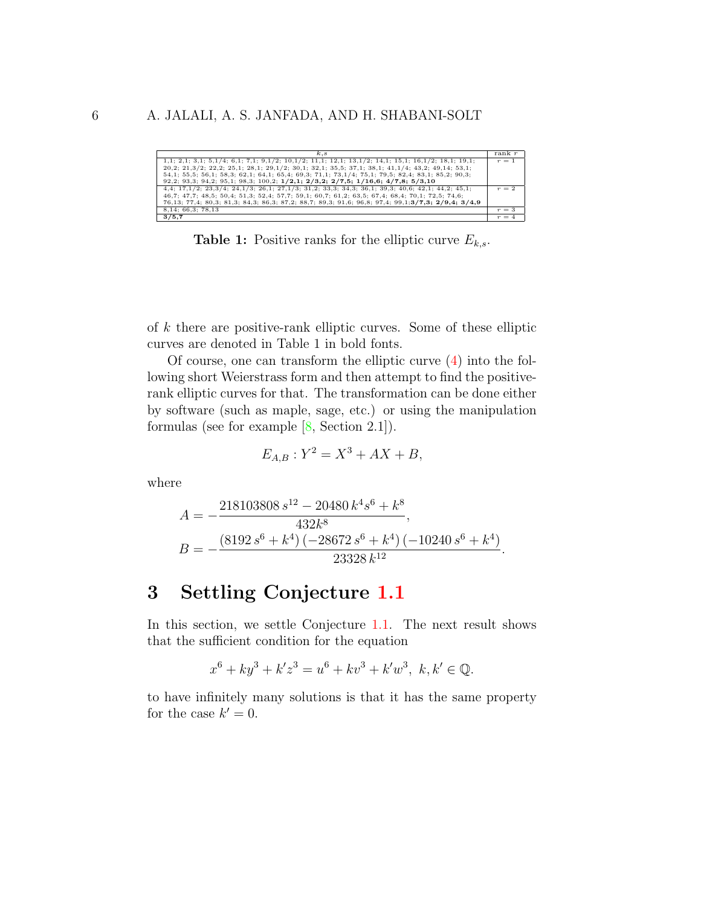| k.s                                                                                                                | rank r  |
|--------------------------------------------------------------------------------------------------------------------|---------|
| $1,1; 2,1; 3,1; 5,1/4; 6,1; 7,1; 9,1/2; 10,1/2; 11,1; 12,1; 13,1/2; 14,1; 15,1; 16,1/2; 18,1; 19,1;$               | $r = 1$ |
| $20.2; 21.3/2; 22.2; 25.1; 28.1; 29.1/2; 30.1; 32.1; 35.5; 37.1; 38.1; 41.1/4; 43.2; 49.14; 53.1;$                 |         |
| 54,1; 55,5; 56,1; 58,3; 62,1; 64,1; 65,4; 69,3; 71,1; 73,1/4; 75,1; 79,5; 82,4; 83,1; 85,2; 90,3;                  |         |
| $92,2; 93,3; 94,2; 95,1; 98,3; 100,2; 1/2,1; 2/3,2; 2/7,5; 1/16,6; 4/7,8; 5/3,10$                                  |         |
| $4,4$ ; 17,1/2; 23,3/4; 24,1/3; 26,1; 27,1/3; 31,2; 33,3; 34,3; 36,1; 39,3; 40,6; 42,1; 44,2; 45,1;                | $r = 2$ |
| 46.7; 47.7; 48.5; 50.4; 51.3; 52.4; 57.7; 59.1; 60.7; 61.2; 63.5; 67.4; 68.4; 70.1; 72.5; 74.6;                    |         |
| 76, 13; 77, 4; 80, 3; 81, 3; 84, 3; 86, 3; 87, 2; 88, 7; 89, 3; 91, 6; 96, 8; 97, 4; 99, 1; 3/7, 3; 2/9, 4; 3/4, 9 |         |
| 8,14; 66,3; 78,13                                                                                                  | $r=3$   |
| 3/5,7                                                                                                              | $r = 4$ |

**Table 1:** Positive ranks for the elliptic curve  $E_{k,s}$ .

of  $k$  there are positive-rank elliptic curves. Some of these elliptic curves are denoted in Table 1 in bold fonts.

Of course, one can transform the elliptic curve  $(4)$  into the following short Weierstrass form and then attempt to find the positiverank elliptic curves for that. The transformation can be done either by software (such as maple, sage, etc.) or using the manipulation formulas (see for example  $[8, \text{Section } 2.1]$ ).

$$
E_{A,B}: Y^2 = X^3 + AX + B,
$$

where

$$
A = -\frac{218103808 s^{12} - 20480 k^4 s^6 + k^8}{432 k^8},
$$
  
\n
$$
B = -\frac{(8192 s^6 + k^4) (-28672 s^6 + k^4) (-10240 s^6 + k^4)}{23328 k^{12}}.
$$

#### <span id="page-5-0"></span>3 Settling Conjecture 1.1

In this section, we settle Conjecture 1.1. The next result shows that the sufficient condition for the equation

$$
x^{6} + ky^{3} + k'z^{3} = u^{6} + kv^{3} + k'w^{3}, \ k, k' \in \mathbb{Q}.
$$

to have infinitely many solutions is that it has the same property for the case  $k'=0$ .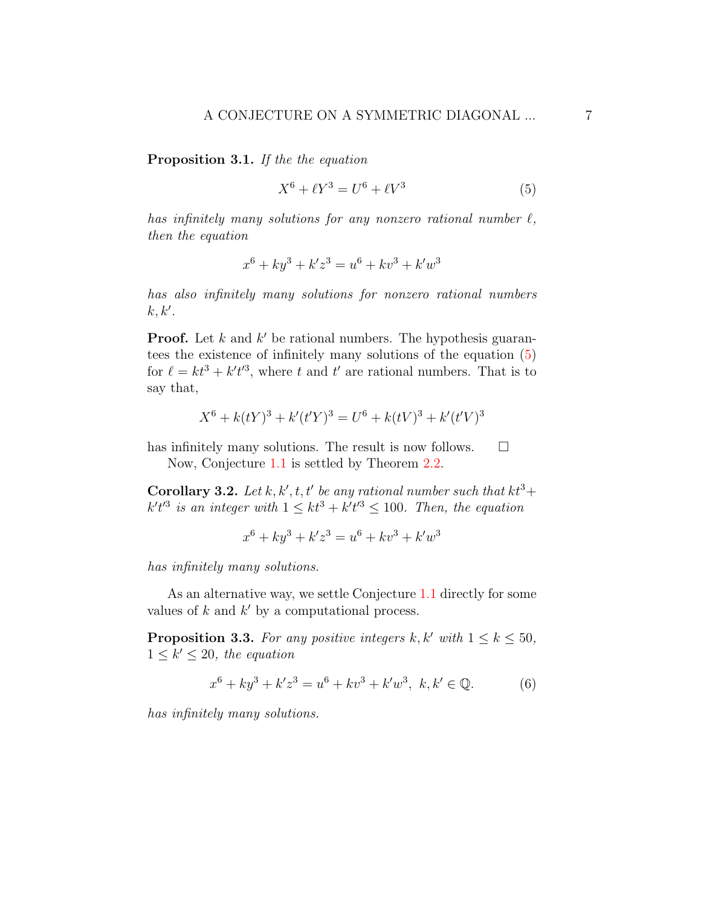Proposition 3.1. If the the equation

<span id="page-6-0"></span>
$$
X^{6} + \ell Y^{3} = U^{6} + \ell V^{3}
$$
 (5)

has infinitely many solutions for any nonzero rational number  $\ell$ , then the equation

$$
x^{6} + ky^{3} + k'z^{3} = u^{6} + kv^{3} + k'w^{3}
$$

has also infinitely many solutions for nonzero rational numbers  $k, k'.$ 

**Proof.** Let  $k$  and  $k'$  be rational numbers. The hypothesis guarantees the existence of infinitely many solutions of the equation [\(5\)](#page-6-0) for  $\ell = kt^3 + k't'^3$ , where t and t' are rational numbers. That is to say that,

$$
X^{6} + k(tY)^{3} + k'(t'Y)^{3} = U^{6} + k(tV)^{3} + k'(t'V)^{3}
$$

has infinitely many solutions. The result is now follows.  $\Box$ 

Now, Conjecture [1.1](#page-2-2) is settled by Theorem [2.2.](#page-4-1)

**Corollary 3.2.** Let k, k', t, t' be any rational number such that  $kt^3$ +  $k't'^3$  is an integer with  $1 \leq kt^3 + k't'^3 \leq 100$ . Then, the equation

$$
x^{6} + ky^{3} + k'z^{3} = u^{6} + kv^{3} + k'w^{3}
$$

has infinitely many solutions.

As an alternative way, we settle Conjecture [1.1](#page-2-2) directly for some values of  $k$  and  $k'$  by a computational process.

<span id="page-6-2"></span>**Proposition 3.3.** For any positive integers k, k' with  $1 \leq k \leq 50$ ,  $1 \leq k' \leq 20$ , the equation

<span id="page-6-1"></span>
$$
x^{6} + ky^{3} + k'z^{3} = u^{6} + kv^{3} + k'w^{3}, \ k, k' \in \mathbb{Q}.
$$
 (6)

has infinitely many solutions.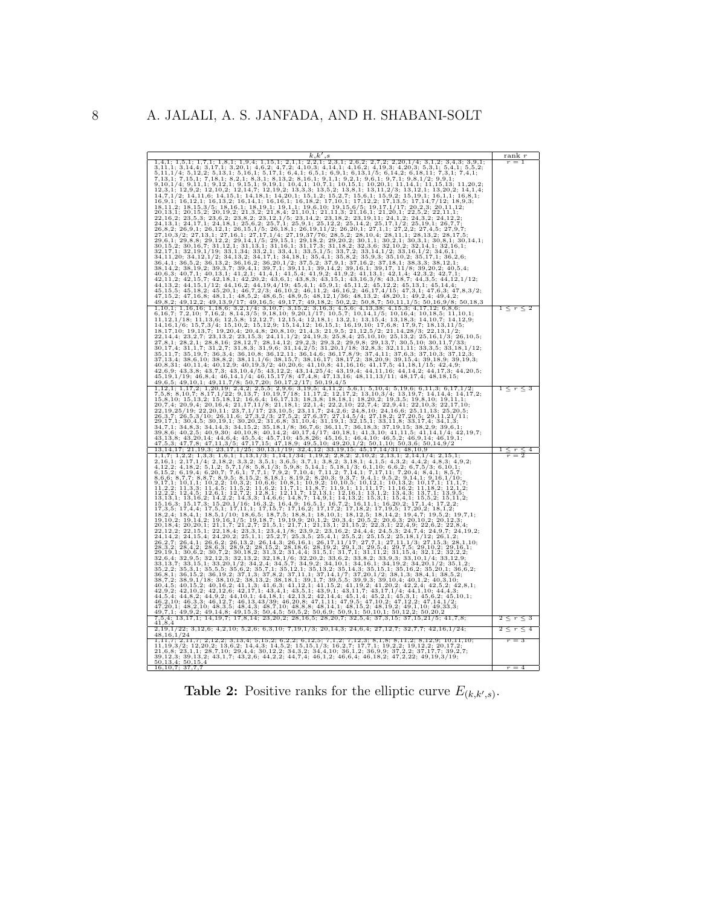

**Table 2:** Positive ranks for the elliptic curve  $E_{(k,k',s)}$ .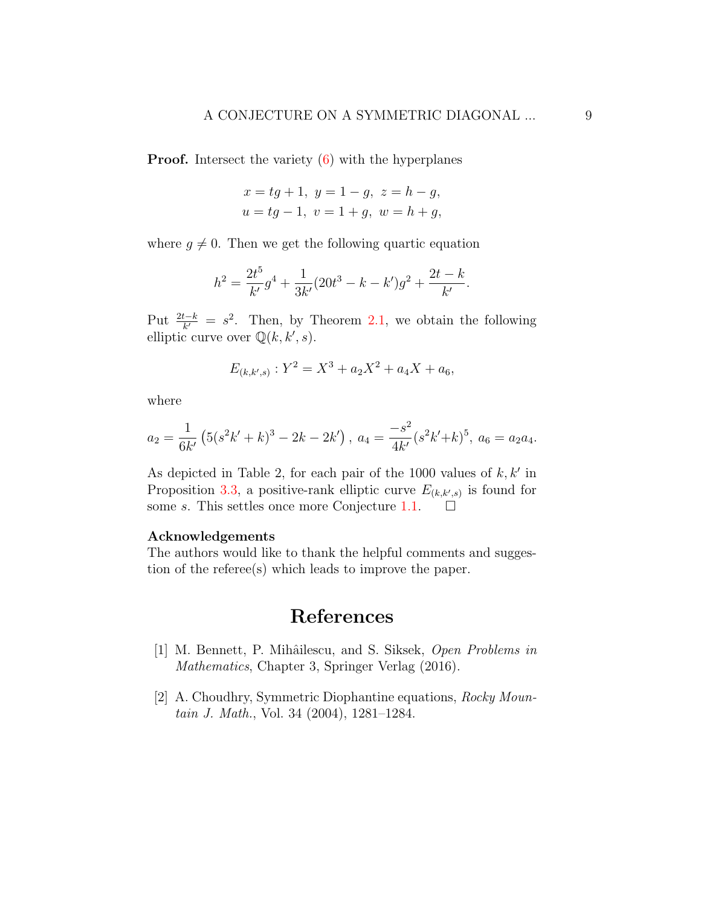**Proof.** Intersect the variety  $(6)$  with the hyperplanes

$$
x = tg + 1, y = 1 - g, z = h - g,
$$
  

$$
u = tg - 1, v = 1 + g, w = h + g,
$$

where  $g \neq 0$ . Then we get the following quartic equation

$$
h^{2} = \frac{2t^{5}}{k'}g^{4} + \frac{1}{3k'}(20t^{3} - k - k')g^{2} + \frac{2t - k}{k'}.
$$

Put  $\frac{2t-k}{k'} = s^2$ . Then, by Theorem [2.1,](#page-3-1) we obtain the following elliptic curve over  $\mathbb{Q}(k, k', s)$ .

$$
E_{(k,k',s)}: Y^2 = X^3 + a_2 X^2 + a_4 X + a_6,
$$

where

$$
a_2 = \frac{1}{6k'} \left( 5(s^2k' + k)^3 - 2k - 2k' \right), \ a_4 = \frac{-s^2}{4k'} (s^2k' + k)^5, \ a_6 = a_2a_4.
$$

As depicted in Table 2, for each pair of the 1000 values of  $k, k'$  in Proposition [3.3,](#page-6-2) a positive-rank elliptic curve  $E_{(k,k',s)}$  is found for some s. This settles once more Conjecture [1.1.](#page-2-2)  $\Box$ 

#### Acknowledgements

The authors would like to thank the helpful comments and suggestion of the referee(s) which leads to improve the paper.

### References

- <span id="page-8-0"></span>[1] M. Bennett, P. Mihâilescu, and S. Siksek, Open Problems in Mathematics, Chapter 3, Springer Verlag (2016).
- <span id="page-8-1"></span>[2] A. Choudhry, Symmetric Diophantine equations, Rocky Mountain J. Math., Vol. 34 (2004), 1281–1284.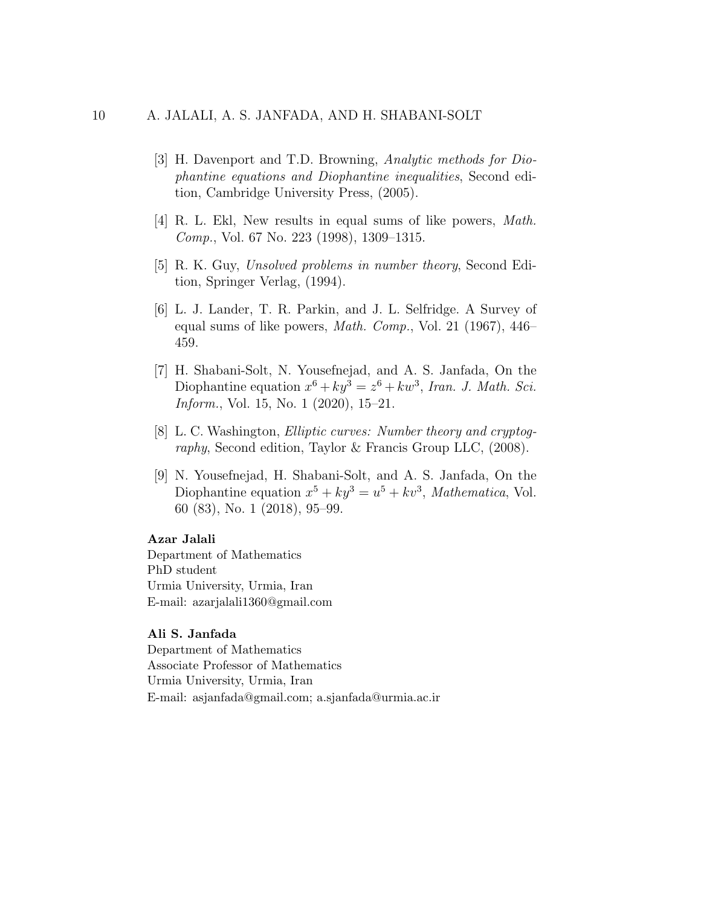- <span id="page-9-1"></span>[3] H. Davenport and T.D. Browning, Analytic methods for Diophantine equations and Diophantine inequalities, Second edition, Cambridge University Press, (2005).
- <span id="page-9-2"></span>[4] R. L. Ekl, New results in equal sums of like powers, Math. Comp., Vol. 67 No. 223 (1998), 1309–1315.
- <span id="page-9-0"></span>[5] R. K. Guy, Unsolved problems in number theory, Second Edition, Springer Verlag, (1994).
- <span id="page-9-3"></span>[6] L. J. Lander, T. R. Parkin, and J. L. Selfridge. A Survey of equal sums of like powers, *Math. Comp.*, Vol. 21 (1967),  $446-$ 459.
- <span id="page-9-4"></span>[7] H. Shabani-Solt, N. Yousefnejad, and A. S. Janfada, On the Diophantine equation  $x^6 + ky^3 = z^6 + kw^3$ , Iran. J. Math. Sci. Inform., Vol. 15, No. 1 (2020), 15–21.
- <span id="page-9-6"></span>[8] L. C. Washington, Elliptic curves: Number theory and cryptography, Second edition, Taylor & Francis Group LLC, (2008).
- <span id="page-9-5"></span>[9] N. Yousefnejad, H. Shabani-Solt, and A. S. Janfada, On the Diophantine equation  $x^5 + ky^3 = u^5 + kv^3$ , *Mathematica*, Vol. 60 (83), No. 1 (2018), 95–99.

#### Azar Jalali

Department of Mathematics PhD student Urmia University, Urmia, Iran E-mail: azarjalali1360@gmail.com

### Ali S. Janfada

Department of Mathematics Associate Professor of Mathematics Urmia University, Urmia, Iran E-mail: asjanfada@gmail.com; a.sjanfada@urmia.ac.ir